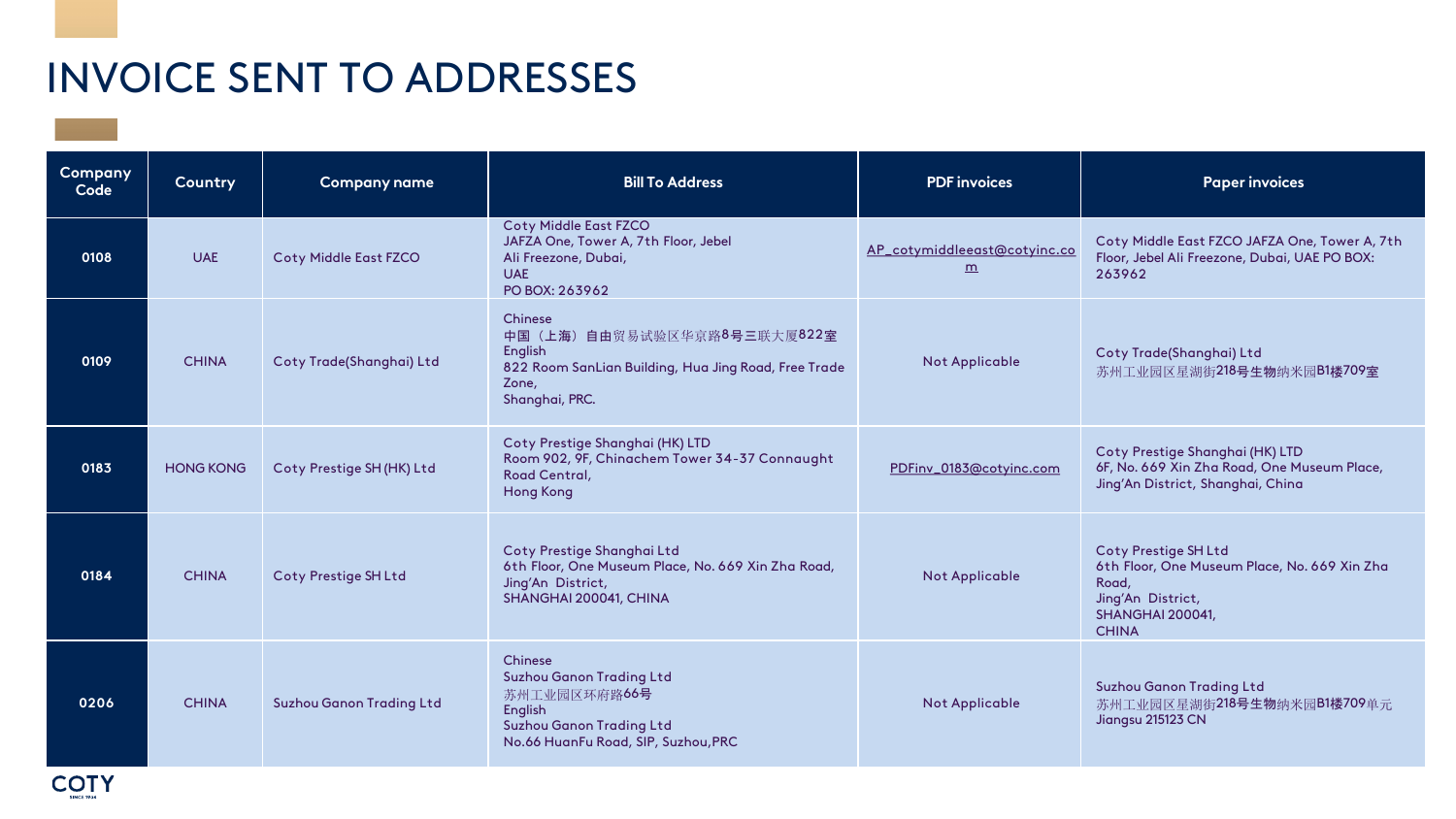| Company<br>Code | Country          | <b>Company name</b>             | <b>Bill To Address</b>                                                                                                                                  | <b>PDF</b> invoices                                      | <b>Paper invoices</b>                                                                                                                         |
|-----------------|------------------|---------------------------------|---------------------------------------------------------------------------------------------------------------------------------------------------------|----------------------------------------------------------|-----------------------------------------------------------------------------------------------------------------------------------------------|
| 0108            | <b>UAE</b>       | <b>Coty Middle East FZCO</b>    | <b>Coty Middle East FZCO</b><br>JAFZA One, Tower A, 7th Floor, Jebel<br>Ali Freezone, Dubai,<br><b>UAE</b><br>PO BOX: 263962                            | AP_cotymiddleeast@cotyinc.co<br>$\underline{\mathbf{m}}$ | Coty Middle East FZCO JAFZA One, Tower A, 7th<br>Floor, Jebel Ali Freezone, Dubai, UAE PO BOX:<br>263962                                      |
| 0109            | <b>CHINA</b>     | Coty Trade(Shanghai) Ltd        | Chinese<br>(上海) 自由贸易试验区华京路8号三联大厦822室<br>中国<br>English<br>822 Room SanLian Building, Hua Jing Road, Free Trade<br>Zone,<br>Shanghai, PRC.                | <b>Not Applicable</b>                                    | Coty Trade(Shanghai) Ltd<br>苏州工业园区星湖街218号生物纳米园B1楼709室                                                                                         |
| 0183            | <b>HONG KONG</b> | Coty Prestige SH (HK) Ltd       | Coty Prestige Shanghai (HK) LTD<br>Room 902, 9F, Chinachem Tower 34-37 Connaught<br>Road Central,<br><b>Hong Kong</b>                                   | PDFinv_0183@cotyinc.com                                  | Coty Prestige Shanghai (HK) LTD<br>6F, No. 669 Xin Zha Road, One Museum Place,<br>Jing'An District, Shanghai, China                           |
| 0184            | <b>CHINA</b>     | <b>Coty Prestige SH Ltd</b>     | Coty Prestige Shanghai Ltd<br>6th Floor, One Museum Place, No. 669 Xin Zha Road,<br>Jing'An District,<br>SHANGHAI 200041, CHINA                         | <b>Not Applicable</b>                                    | <b>Coty Prestige SH Ltd</b><br>6th Floor, One Museum Place, No. 669 Xin Zha<br>Road,<br>Jing'An District,<br>SHANGHAI 200041,<br><b>CHINA</b> |
| 0206            | <b>CHINA</b>     | <b>Suzhou Ganon Trading Ltd</b> | Chinese<br><b>Suzhou Ganon Trading Ltd</b><br>苏州工业园区环府路 <b>66号</b><br>English<br><b>Suzhou Ganon Trading Ltd</b><br>No.66 HuanFu Road, SIP, Suzhou, PRC | <b>Not Applicable</b>                                    | <b>Suzhou Ganon Trading Ltd</b><br>苏州工业园区星湖街218号生物纳米园B1楼709单元<br>Jiangsu 215123 CN                                                            |

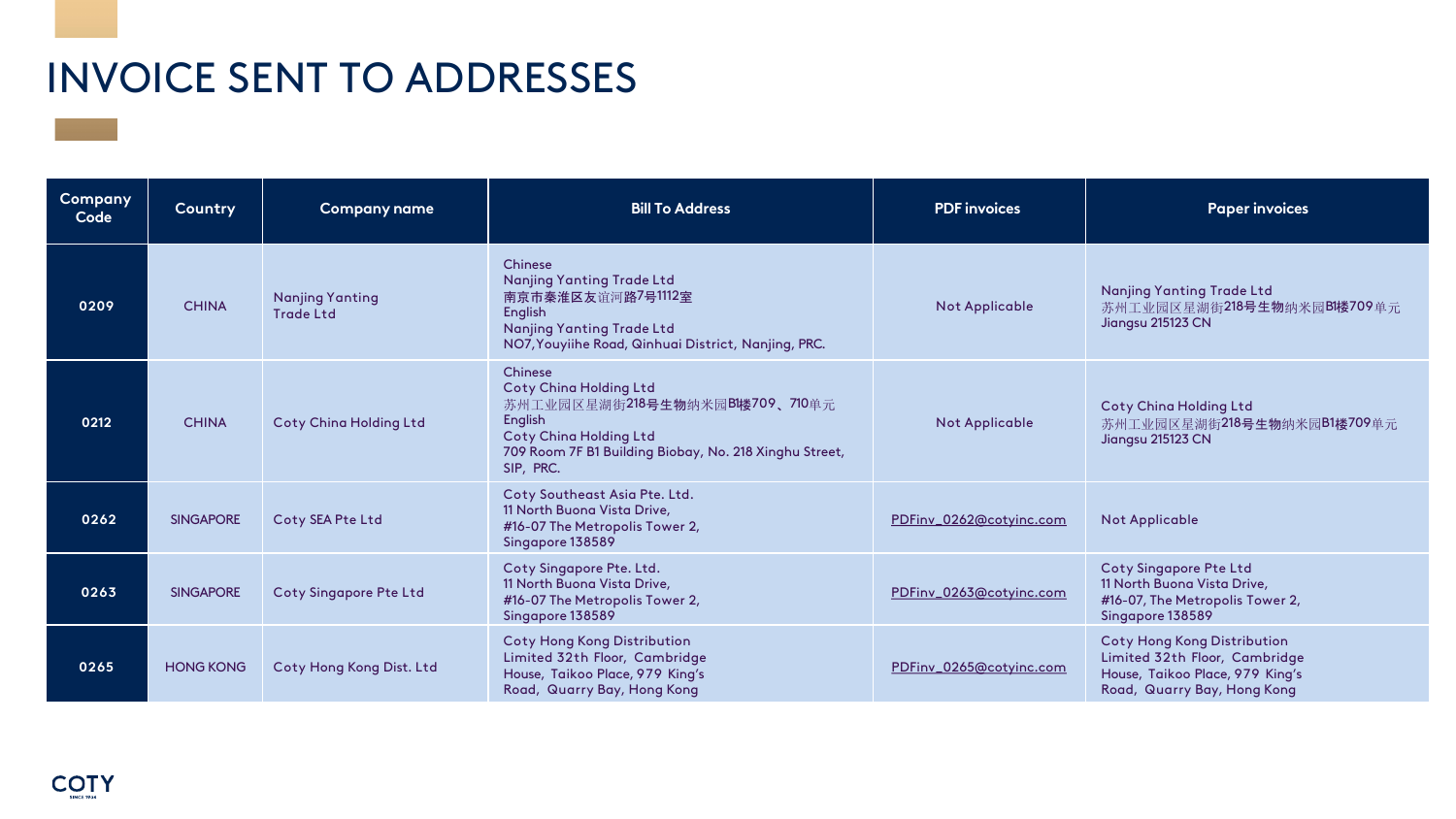| <b>Company</b><br>Code | Country          | <b>Company name</b>                        | <b>Bill To Address</b>                                                                                                                                                                               | <b>PDF</b> invoices     | <b>Paper invoices</b>                                                                                                                 |
|------------------------|------------------|--------------------------------------------|------------------------------------------------------------------------------------------------------------------------------------------------------------------------------------------------------|-------------------------|---------------------------------------------------------------------------------------------------------------------------------------|
| 0209                   | <b>CHINA</b>     | <b>Nanjing Yanting</b><br><b>Trade Ltd</b> | Chinese<br><b>Nanjing Yanting Trade Ltd</b><br>南京市秦淮区友谊河路7号1112室<br>English<br><b>Nanjing Yanting Trade Ltd</b><br>NO7, Youyiihe Road, Qinhuai District, Nanjing, PRC.                               | <b>Not Applicable</b>   | <b>Nanjing Yanting Trade Ltd</b><br>苏州工业园区星湖街218号生物纳米园BI楼709单元<br>Jiangsu 215123 CN                                                   |
| 0212                   | <b>CHINA</b>     | <b>Coty China Holding Ltd</b>              | Chinese<br><b>Coty China Holding Ltd</b><br>苏州工业园区星湖街218号生物纳米园BI楼709、710单元<br><b>English</b><br><b>Coty China Holding Ltd</b><br>709 Room 7F B1 Building Biobay, No. 218 Xinghu Street,<br>SIP, PRC. | <b>Not Applicable</b>   | <b>Coty China Holding Ltd</b><br>苏州工业园区星湖街218号生物纳米园B1楼709单元<br>Jiangsu 215123 CN                                                      |
| 0262                   | <b>SINGAPORE</b> | Coty SEA Pte Ltd                           | Coty Southeast Asia Pte. Ltd.<br>11 North Buona Vista Drive,<br>#16-07 The Metropolis Tower 2,<br>Singapore 138589                                                                                   | PDFinv_0262@cotyinc.com | <b>Not Applicable</b>                                                                                                                 |
| 0263                   | <b>SINGAPORE</b> | Coty Singapore Pte Ltd                     | Coty Singapore Pte. Ltd.<br>11 North Buona Vista Drive,<br>#16-07 The Metropolis Tower 2,<br>Singapore 138589                                                                                        | PDFinv_0263@cotyinc.com | <b>Coty Singapore Pte Ltd</b><br>11 North Buona Vista Drive,<br>#16-07, The Metropolis Tower 2,<br>Singapore 138589                   |
| 0265                   | <b>HONG KONG</b> | Coty Hong Kong Dist. Ltd                   | <b>Coty Hong Kong Distribution</b><br>Limited 32th Floor, Cambridge<br>House, Taikoo Place, 979 King's<br>Road, Quarry Bay, Hong Kong                                                                | PDFinv_0265@cotyinc.com | <b>Coty Hong Kong Distribution</b><br>Limited 32th Floor, Cambridge<br>House, Taikoo Place, 979 King's<br>Road, Quarry Bay, Hong Kong |

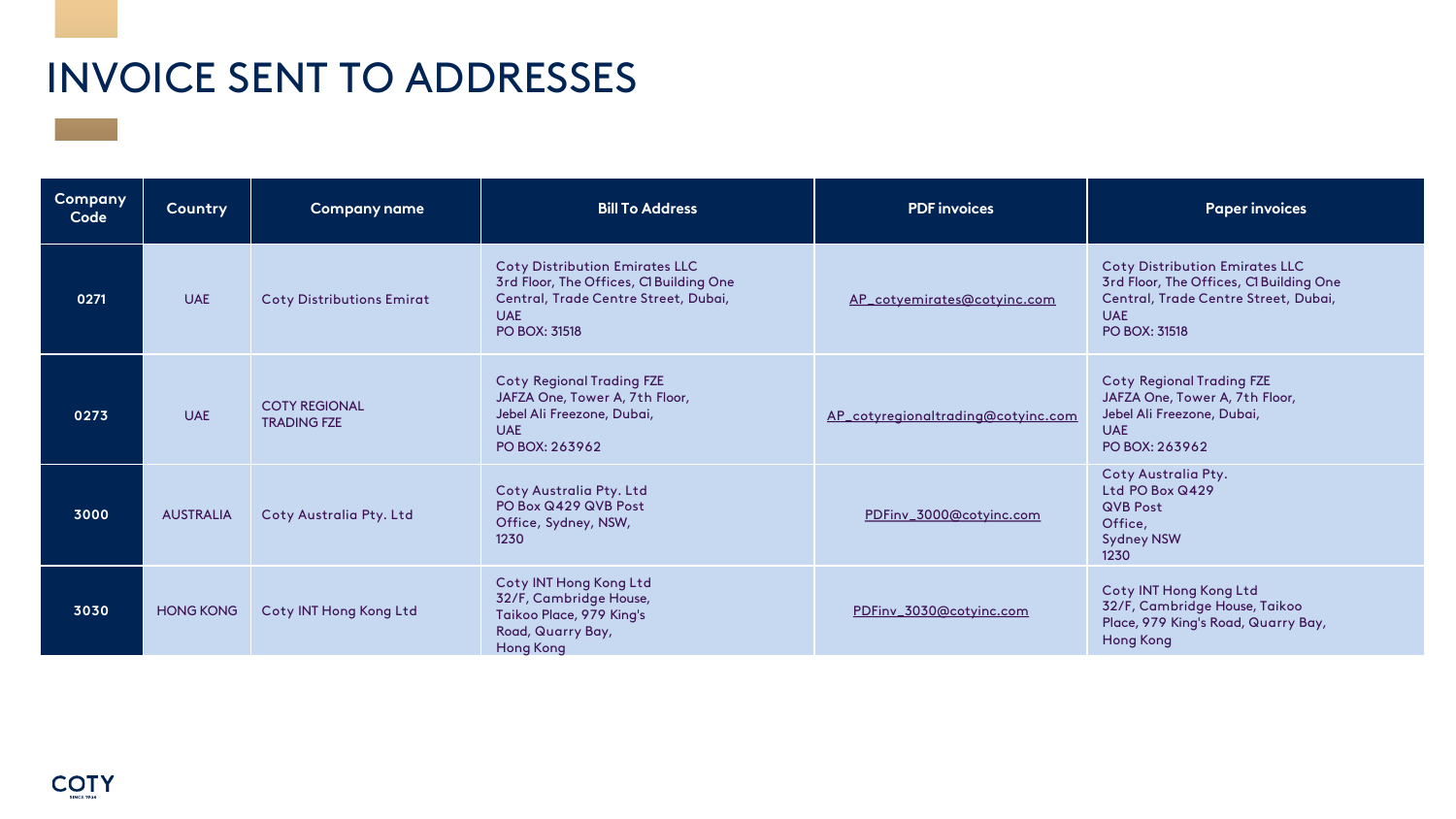| Company<br>Code | Country          | <b>Company name</b>                        | <b>Bill To Address</b>                                                                                                                                         | <b>PDF</b> invoices                | <b>Paper invoices</b>                                                                                                                                          |
|-----------------|------------------|--------------------------------------------|----------------------------------------------------------------------------------------------------------------------------------------------------------------|------------------------------------|----------------------------------------------------------------------------------------------------------------------------------------------------------------|
| 0271            | <b>UAE</b>       | <b>Coty Distributions Emirat</b>           | <b>Coty Distribution Emirates LLC</b><br>3rd Floor, The Offices, Cl Building One<br>Central, Trade Centre Street, Dubai,<br><b>UAE</b><br><b>PO BOX: 31518</b> | AP_cotyemirates@cotyinc.com        | <b>Coty Distribution Emirates LLC</b><br>3rd Floor, The Offices, Cl Building One<br>Central, Trade Centre Street, Dubai,<br><b>UAE</b><br><b>PO BOX: 31518</b> |
| 0273            | <b>UAE</b>       | <b>COTY REGIONAL</b><br><b>TRADING FZE</b> | <b>Coty Regional Trading FZE</b><br>JAFZA One, Tower A, 7th Floor,<br>Jebel Ali Freezone, Dubai,<br><b>UAE</b><br>PO BOX: 263962                               | AP_cotyregionaltrading@cotyinc.com | <b>Coty Regional Trading FZE</b><br>JAFZA One, Tower A, 7th Floor,<br>Jebel Ali Freezone, Dubai,<br><b>UAE</b><br>PO BOX: 263962                               |
| 3000            | <b>AUSTRALIA</b> | Coty Australia Pty. Ltd                    | Coty Australia Pty. Ltd<br>PO Box Q429 QVB Post<br>Office, Sydney, NSW,<br>1230                                                                                | PDFinv_3000@cotyinc.com            | Coty Australia Pty.<br>Ltd PO Box Q429<br><b>QVB Post</b><br>Office,<br><b>Sydney NSW</b><br>1230                                                              |
| 3030            | <b>HONG KONG</b> | Coty INT Hong Kong Ltd                     | Coty INT Hong Kong Ltd<br>32/F, Cambridge House,<br>Taikoo Place, 979 King's<br>Road, Quarry Bay,<br><b>Hong Kong</b>                                          | PDFinv_3030@cotyinc.com            | Coty INT Hong Kong Ltd<br>32/F, Cambridge House, Taikoo<br>Place, 979 King's Road, Quarry Bay,<br><b>Hong Kong</b>                                             |